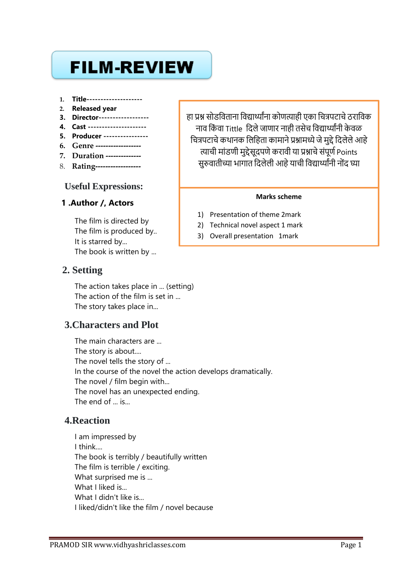# **FILM-REVIEW**

- **1. Title--------------------**
- **2. Released year**
- **3. Director------------------**
- **4. Cast ---------------------**
- **5. Producer ----------------**
- **6. Genre ------------------**
- **7. Duration --------------**
- 8. **Rating------------------**

### **Useful Expressions:**

### **1 .Author /, Actors**

The film is directed by The film is produced by.. It is starred by... The book is written by ...

# **2. Setting**

The action takes place in ... (setting) The action of the film is set in ... The story takes place in...

# **3.Characters and Plot**

The main characters are ... The story is about.... The novel tells the story of ... In the course of the novel the action develops dramatically. The novel / film begin with... The novel has an unexpected ending. The end of ... is...

# **4.Reaction**

I am impressed by I think.... The book is terribly / beautifully written The film is terrible / exciting. What surprised me is ... What I liked is... What I didn't like is... I liked/didn't like the film / novel because

हा प्रश्न सोडविताना विद्यार्थ्यांना कोणत्याही एका चित्रपटाचे ठराविक नाव किंवा Tittle दिले जाणार नाही तसेच विद्यार्थ्यांनी केवळ चित्रपटाचे कथानक लिहिता कामाने प्रश्नामध्ये जे मुद्दे दिलेले आहे त्याची मांडणी मुद्देसूदपणे करावी या प्रश्नाचे संपूर्ण Points सुरुवातीच्या भागात दिलेली आहे याची विद्यार्थ्यांनी नोंद घ्या

#### **Marks scheme**

- 1) Presentation of theme 2mark
- 2) Technical novel aspect 1 mark
- 3) Overall presentation 1mark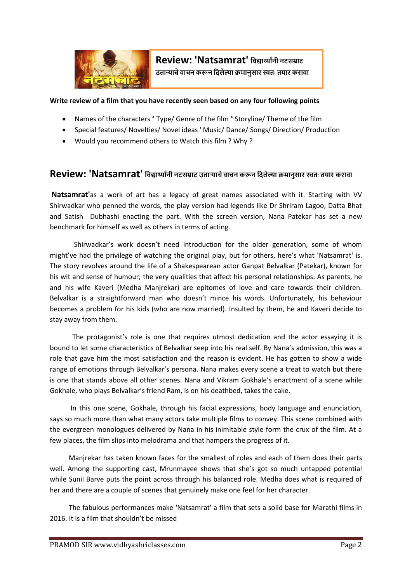

#### **Write review of a film that you have recently seen based on any four following points**

- Names of the characters ° Type/ Genre of the film ° Storyline/ Theme of the film
- Special features/ Novelties/ Novel ideas ' Music/ Dance/ Songs/ Direction/ Production
- Would you recommend others to Watch this film ? Why ?

# **Review: 'Natsamrat' विद्यार्थ्ाांनी नटसम्राट उताऱ्याचेिाचन करून विलेल्या क्रमानुसार स्वतः तयार करािा**

**Natsamrat'**as a work of art has a legacy of great names associated with it. Starting with VV Shirwadkar who penned the words, the play version had legends like Dr Shriram Lagoo, Datta Bhat and Satish Dubhashi enacting the part. With the screen version, Nana Patekar has set a new benchmark for himself as well as others in terms of acting.

 Shirwadkar's work doesn't need introduction for the older generation, some of whom might've had the privilege of watching the original play, but for others, here's what 'Natsamrat' is. The story revolves around the life of a Shakespearean actor Ganpat Belvalkar (Patekar), known for his wit and sense of humour; the very qualities that affect his personal relationships. As parents, he and his wife Kaveri (Medha Manjrekar) are epitomes of love and care towards their children. Belvalkar is a straightforward man who doesn't mince his words. Unfortunately, his behaviour becomes a problem for his kids (who are now married). Insulted by them, he and Kaveri decide to stay away from them.

 The protagonist's role is one that requires utmost dedication and the actor essaying it is bound to let some characteristics of Belvalkar seep into his real self. By Nana's admission, this was a role that gave him the most satisfaction and the reason is evident. He has gotten to show a wide range of emotions through Belvalkar's persona. Nana makes every scene a treat to watch but there is one that stands above all other scenes. Nana and Vikram Gokhale's enactment of a scene while Gokhale, who plays Belvalkar's friend Ram, is on his deathbed, takes the cake.

 In this one scene, Gokhale, through his facial expressions, body language and enunciation, says so much more than what many actors take multiple films to convey. This scene combined with the evergreen monologues delivered by Nana in his inimitable style form the crux of the film. At a few places, the film slips into melodrama and that hampers the progress of it.

 Manjrekar has taken known faces for the smallest of roles and each of them does their parts well. Among the supporting cast, Mrunmayee shows that she's got so much untapped potential while Sunil Barve puts the point across through his balanced role. Medha does what is required of her and there are a couple of scenes that genuinely make one feel for her character.

 The fabulous performances make 'Natsamrat' a film that sets a solid base for Marathi films in 2016. It is a film that shouldn't be missed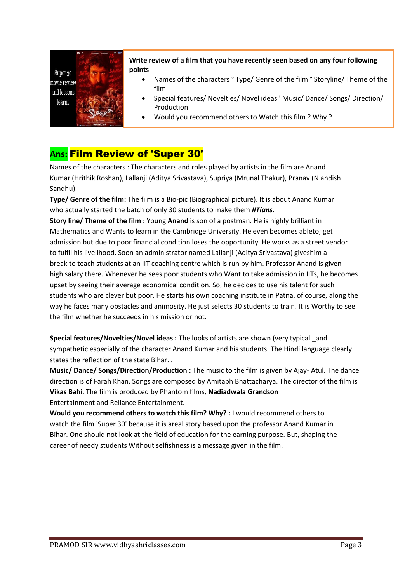

**Write review of a film that you have recently seen based on any four following points**

- Names of the characters ° Type/ Genre of the film ° Storyline/ Theme of the film
- Special features/ Novelties/ Novel ideas ' Music/ Dance/ Songs/ Direction/ Production
- Would you recommend others to Watch this film ? Why ?

# **Ans:** Film Review of 'Super 30'

Names of the characters : The characters and roles played by artists in the film are Anand Kumar (Hrithik Roshan), Lallanji (Aditya Srivastava), Supriya (Mrunal Thakur), Pranav (N andish Sandhu).

**Type/ Genre of the film:** The film is a Bio-pic (Biographical picture). It is about Anand Kumar who actually started the batch of only 30 students to make them *IITians.*

**Story line/ Theme of the film :** Young **Anand** is son of a postman. He is highly brilliant in Mathematics and Wants to learn in the Cambridge University. He even becomes ableto; get admission but due to poor financial condition loses the opportunity. He works as a street vendor to fulfil his livelihood. Soon an administrator named Lallanji (Aditya Srivastava) giveshim a break to teach students at an IIT coaching centre which is run by him. Professor Anand is given high salary there. Whenever he sees poor students who Want to take admission in IITs, he becomes upset by seeing their average economical condition. So, he decides to use his talent for such students who are clever but poor. He starts his own coaching institute in Patna. of course, along the way he faces many obstacles and animosity. He just selects 30 students to train. It is Worthy to see the film whether he succeeds in his mission or not.

**Special features/Novelties/Novel ideas :** The looks of artists are shown (very typical \_and sympathetic especially of the character Anand Kumar and his students. The Hindi language clearly states the reflection of the state Bihar. .

**Music/ Dance/ Songs/Direction/Production :** The music to the film is given by Ajay- Atul. The dance direction is of Farah Khan. Songs are composed by Amitabh Bhattacharya. The director of the film is **Vikas Bahi**. The film is produced by Phantom films, **Nadiadwala Grandson** Entertainment and Reliance Entertainment.

**Would you recommend others to watch this film? Why? :** I would recommend others to watch the film 'Super 30' because it is areal story based upon the professor Anand Kumar in Bihar. One should not look at the field of education for the earning purpose. But, shaping the career of needy students Without selfishness is a message given in the film.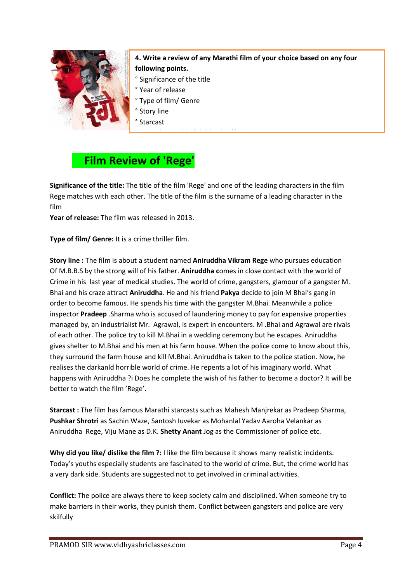

## **4. Write a review of any Marathi film of your choice based on any four following points.**

- ° Significance of the title
- ° Year of release
- ° Type of film/ Genre
- ° Story line
- ° Starcast

# **Film Review of 'Rege'**

**Significance of the title:** The title of the film 'Rege' and one of the leading characters in the film Rege matches with each other. The title of the film is the surname of a leading character in the film

° Why did you like/ dislike the film ?

**Year of release:** The film was released in 2013.

**Type of film/ Genre:** It is a crime thriller film.

**Story line :** The film is about a student named **Aniruddha Vikram Rege** who pursues education Of M.B.B.S by the strong will of his father. **Aniruddha c**omes in close contact with the world of Crime in his last year of medical studies. The world of crime, gangsters, glamour of a gangster M. Bhai and his craze attract **Aniruddha**. He and his friend **Pakya** decide to join M Bhai's gang in order to become famous. He spends his time with the gangster M.Bhai. Meanwhile a police inspector **Pradeep** .Sharma who is accused of laundering money to pay for expensive properties managed by, an industrialist Mr. Agrawal, is expert in encounters. M .Bhai and Agrawal are rivals of each other. The police try to kill M.Bhai in a wedding ceremony but he escapes. Aniruddha gives shelter to M.Bhai and his men at his farm house. When the police come to know about this, they surround the farm house and kill M.Bhai. Aniruddha is taken to the police station. Now, he realises the darkanld horrible world of crime. He repents a lot of his imaginary world. What happens with Aniruddha ?i Does he complete the wish of his father to become a doctor? It will be better to watch the film 'Rege'.

**Starcast :** The film has famous Marathi starcasts such as Mahesh Manjrekar as Pradeep Sharma, **Pushkar Shrotri** as Sachin Waze, Santosh Iuvekar as Mohanlal Yadav Aaroha Velankar as Aniruddha Rege, Viju Mane as D.K. **Shetty Anant** Jog as the Commissioner of police etc.

**Why did you like/ dislike the film ?:** I like the film because it shows many realistic incidents. Today's youths especially students are fascinated to the world of crime. But, the crime world has a very dark side. Students are suggested not to get involved in criminal activities.

**Conflict:** The police are always there to keep society calm and disciplined. When someone try to make barriers in their works, they punish them. Conflict between gangsters and police are very skilfully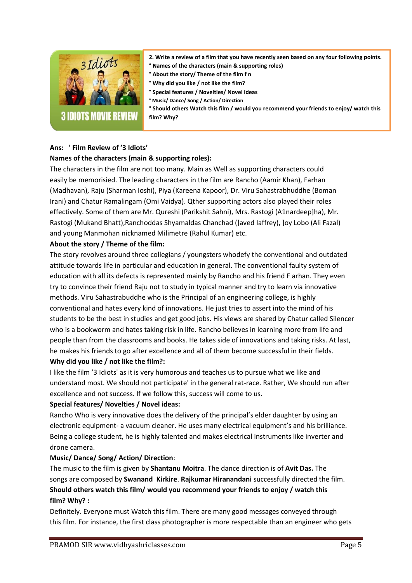

- **2. Write a review of a film that you have recently seen based on any four following points.**
- **° Names of the characters (main & supporting roles)**
- **° About the story/ Theme of the film f n**
- **° Why did you like / not like the film?**
- **° Special features / Novelties/ Novel ideas**
- **° Music/ Dance/ Song / Action/ Direction**

**° Should others Watch this film / would you recommend your friends to enjoy/ watch this film? Why?** 

# **Ans: ' Film Review of '3 Idiots'**

#### **Names of the characters (main & supporting roles):**

The characters in the film are not too many. Main as Well as supporting characters could easily be memorisied. The leading characters in the film are Rancho (Aamir Khan), Farhan (Madhavan), Raju (Sharman Ioshi), Piya (Kareena Kapoor), Dr. Viru Sahastrabhuddhe (Boman Irani) and Chatur Ramalingam (Omi Vaidya). Qther supporting actors also played their roles effectively. Some of them are Mr. Qureshi (Parikshit Sahni), Mrs. Rastogi (A1nardeep]ha), Mr. Rastogi (Mukand Bhatt),Ranchoddas Shyamaldas Chanchad (]aved Iaffrey), ]oy Lobo (Ali Fazal) and young Manmohan nicknamed Milimetre (Rahul Kumar) etc.

#### **About the story / Theme of the film:**

The story revolves around three collegians / youngsters whodefy the conventional and outdated attitude towards life in particular and education in general. The conventional faulty system of education with all its defects is represented mainly by Rancho and his friend F arhan. They even try to convince their friend Raju not to study in typical manner and try to learn via innovative methods. Viru Sahastrabuddhe who is the Principal of an engineering college, is highly conventional and hates every kind of innovations. He just tries to assert into the mind of his students to be the best in studies and get good jobs. His views are shared by Chatur called Silencer who is a bookworm and hates taking risk in life. Rancho believes in learning more from life and people than from the classrooms and books. He takes side of innovations and taking risks. At last, he makes his friends to go after excellence and all of them become successful in their fields. **Why did you like / not like the film?:**

I like the film '3 Idiots' as it is very humorous and teaches us to pursue what we like and understand most. We should not participate' in the general rat-race. Rather, We should run after excellence and not success. If we follow this, success will come to us.

### **Special features/ Novelties / Novel ideas:**

Rancho Who is very innovative does the delivery of the principal's elder daughter by using an electronic equipment- a vacuum cleaner. He uses many electrical equipment's and his brilliance. Being a college student, he is highly talented and makes electrical instruments like inverter and drone camera.

### **Music/ Dance/ Song/ Action/ Direction**:

The music to the film is given by **Shantanu Moitra**. The dance direction is of **Avit Das.** The songs are composed by **Swanand Kirkire**. **Rajkumar Hiranandani** successfully directed the film. **Should others watch this film/ would you recommend your friends to enjoy / watch this film? Why? :**

Definitely. Everyone must Watch this film. There are many good messages conveyed through this film. For instance, the first class photographer is more respectable than an engineer who gets